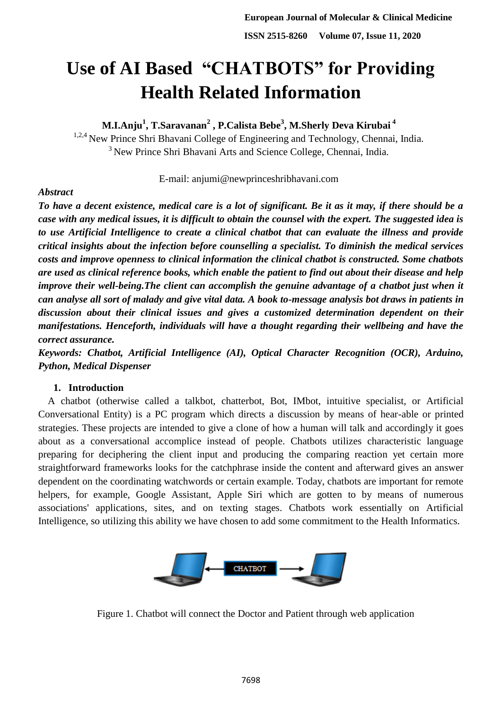# **Use of AI Based "CHATBOTS" for Providing Health Related Information**

**M.I.Anju<sup>1</sup> , T.Saravanan<sup>2</sup> , P.Calista Bebe<sup>3</sup> , M.Sherly Deva Kirubai <sup>4</sup>**

<sup>1,2,4</sup> New Prince Shri Bhavani College of Engineering and Technology, Chennai, India. <sup>3</sup> New Prince Shri Bhavani Arts and Science College, Chennai, India.

E-mail: [anjumi@newprinceshribhavani.com](mailto:anjumi@newprinceshribhavani.com)

# *Abstract*

*To have a decent existence, medical care is a lot of significant. Be it as it may, if there should be a case with any medical issues, it is difficult to obtain the counsel with the expert. The suggested idea is to use Artificial Intelligence to create a clinical chatbot that can evaluate the illness and provide critical insights about the infection before counselling a specialist. To diminish the medical services costs and improve openness to clinical information the clinical chatbot is constructed. Some chatbots are used as clinical reference books, which enable the patient to find out about their disease and help improve their well-being. The client can accomplish the genuine advantage of a chatbot just when it can analyse all sort of malady and give vital data. A book to-message analysis bot draws in patients in discussion about their clinical issues and gives a customized determination dependent on their manifestations. Henceforth, individuals will have a thought regarding their wellbeing and have the correct assurance.*

*Keywords: Chatbot, Artificial Intelligence (AI), Optical Character Recognition (OCR), Arduino, Python, Medical Dispenser*

# **1. Introduction**

A chatbot (otherwise called a talkbot, chatterbot, Bot, IMbot, intuitive specialist, or Artificial Conversational Entity) is a PC program which directs a discussion by means of hear-able or printed strategies. These projects are intended to give a clone of how a human will talk and accordingly it goes about as a conversational accomplice instead of people. Chatbots utilizes characteristic language preparing for deciphering the client input and producing the comparing reaction yet certain more straightforward frameworks looks for the catchphrase inside the content and afterward gives an answer dependent on the coordinating watchwords or certain example. Today, chatbots are important for remote helpers, for example, Google Assistant, Apple Siri which are gotten to by means of numerous associations' applications, sites, and on texting stages. Chatbots work essentially on Artificial Intelligence, so utilizing this ability we have chosen to add some commitment to the Health Informatics.



Figure 1. Chatbot will connect the Doctor and Patient through web application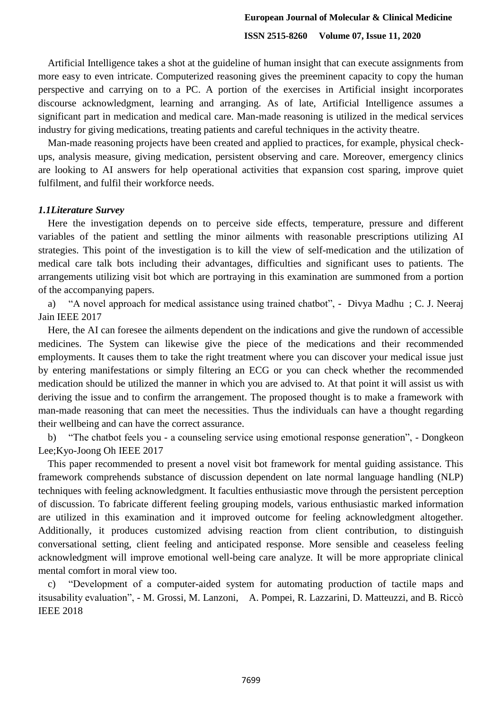Artificial Intelligence takes a shot at the guideline of human insight that can execute assignments from more easy to even intricate. Computerized reasoning gives the preeminent capacity to copy the human perspective and carrying on to a PC. A portion of the exercises in Artificial insight incorporates discourse acknowledgment, learning and arranging. As of late, Artificial Intelligence assumes a significant part in medication and medical care. Man-made reasoning is utilized in the medical services industry for giving medications, treating patients and careful techniques in the activity theatre.

Man-made reasoning projects have been created and applied to practices, for example, physical checkups, analysis measure, giving medication, persistent observing and care. Moreover, emergency clinics are looking to AI answers for help operational activities that expansion cost sparing, improve quiet fulfilment, and fulfil their workforce needs.

## *1.1Literature Survey*

Here the investigation depends on to perceive side effects, temperature, pressure and different variables of the patient and settling the minor ailments with reasonable prescriptions utilizing AI strategies. This point of the investigation is to kill the view of self-medication and the utilization of medical care talk bots including their advantages, difficulties and significant uses to patients. The arrangements utilizing visit bot which are portraying in this examination are summoned from a portion of the accompanying papers.

a) "A novel approach for medical assistance using trained chatbot", - Divya Madhu ; C. J. Neeraj Jain IEEE 2017

Here, the AI can foresee the ailments dependent on the indications and give the rundown of accessible medicines. The System can likewise give the piece of the medications and their recommended employments. It causes them to take the right treatment where you can discover your medical issue just by entering manifestations or simply filtering an ECG or you can check whether the recommended medication should be utilized the manner in which you are advised to. At that point it will assist us with deriving the issue and to confirm the arrangement. The proposed thought is to make a framework with man-made reasoning that can meet the necessities. Thus the individuals can have a thought regarding their wellbeing and can have the correct assurance.

b) "The chatbot feels you - a counseling service using emotional response generation", - Dongkeon Lee;Kyo-Joong Oh IEEE 2017

This paper recommended to present a novel visit bot framework for mental guiding assistance. This framework comprehends substance of discussion dependent on late normal language handling (NLP) techniques with feeling acknowledgment. It faculties enthusiastic move through the persistent perception of discussion. To fabricate different feeling grouping models, various enthusiastic marked information are utilized in this examination and it improved outcome for feeling acknowledgment altogether. Additionally, it produces customized advising reaction from client contribution, to distinguish conversational setting, client feeling and anticipated response. More sensible and ceaseless feeling acknowledgment will improve emotional well-being care analyze. It will be more appropriate clinical mental comfort in moral view too.

c) "Development of a computer-aided system for automating production of tactile maps and itsusability evaluation", - M. Grossi, M. Lanzoni, A. Pompei, R. Lazzarini, D. Matteuzzi, and B. Riccò IEEE 2018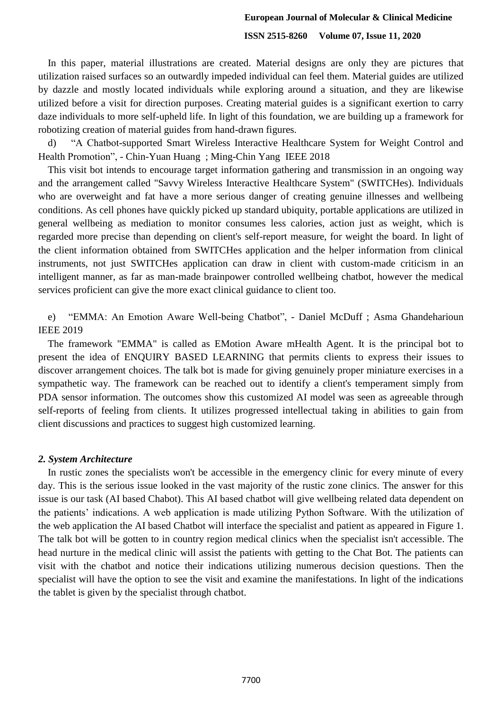#### **European Journal of Molecular & Clinical Medicine**

## **ISSN 2515-8260 Volume 07, Issue 11, 2020**

In this paper, material illustrations are created. Material designs are only they are pictures that utilization raised surfaces so an outwardly impeded individual can feel them. Material guides are utilized by dazzle and mostly located individuals while exploring around a situation, and they are likewise utilized before a visit for direction purposes. Creating material guides is a significant exertion to carry daze individuals to more self-upheld life. In light of this foundation, we are building up a framework for robotizing creation of material guides from hand-drawn figures.

d) "A Chatbot-supported Smart Wireless Interactive Healthcare System for Weight Control and Health Promotion", - Chin-Yuan Huang ; Ming-Chin Yang IEEE 2018

This visit bot intends to encourage target information gathering and transmission in an ongoing way and the arrangement called "Savvy Wireless Interactive Healthcare System" (SWITCHes). Individuals who are overweight and fat have a more serious danger of creating genuine illnesses and wellbeing conditions. As cell phones have quickly picked up standard ubiquity, portable applications are utilized in general wellbeing as mediation to monitor consumes less calories, action just as weight, which is regarded more precise than depending on client's self-report measure, for weight the board. In light of the client information obtained from SWITCHes application and the helper information from clinical instruments, not just SWITCHes application can draw in client with custom-made criticism in an intelligent manner, as far as man-made brainpower controlled wellbeing chatbot, however the medical services proficient can give the more exact clinical guidance to client too.

e) "EMMA: An Emotion Aware Well-being Chatbot", - Daniel McDuff ; Asma Ghandeharioun IEEE 2019

The framework "EMMA" is called as EMotion Aware mHealth Agent. It is the principal bot to present the idea of ENQUIRY BASED LEARNING that permits clients to express their issues to discover arrangement choices. The talk bot is made for giving genuinely proper miniature exercises in a sympathetic way. The framework can be reached out to identify a client's temperament simply from PDA sensor information. The outcomes show this customized AI model was seen as agreeable through self-reports of feeling from clients. It utilizes progressed intellectual taking in abilities to gain from client discussions and practices to suggest high customized learning.

#### *2. System Architecture*

In rustic zones the specialists won't be accessible in the emergency clinic for every minute of every day. This is the serious issue looked in the vast majority of the rustic zone clinics. The answer for this issue is our task (AI based Chabot). This AI based chatbot will give wellbeing related data dependent on the patients' indications. A web application is made utilizing Python Software. With the utilization of the web application the AI based Chatbot will interface the specialist and patient as appeared in Figure 1. The talk bot will be gotten to in country region medical clinics when the specialist isn't accessible. The head nurture in the medical clinic will assist the patients with getting to the Chat Bot. The patients can visit with the chatbot and notice their indications utilizing numerous decision questions. Then the specialist will have the option to see the visit and examine the manifestations. In light of the indications the tablet is given by the specialist through chatbot.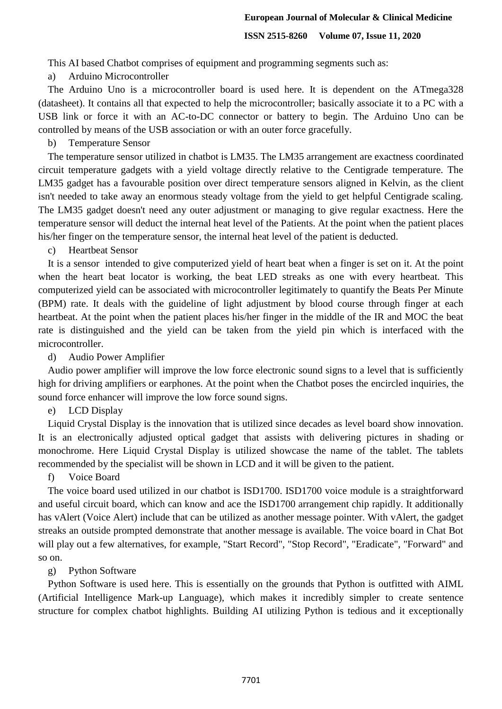This AI based Chatbot comprises of equipment and programming segments such as:

a) Arduino Microcontroller

The Arduino Uno is a microcontroller board is used here. It is dependent on the ATmega328 (datasheet). It contains all that expected to help the microcontroller; basically associate it to a PC with a USB link or force it with an AC-to-DC connector or battery to begin. The Arduino Uno can be controlled by means of the USB association or with an outer force gracefully.

## b) Temperature Sensor

The temperature sensor utilized in chatbot is LM35. The LM35 arrangement are exactness coordinated circuit temperature gadgets with a yield voltage directly relative to the Centigrade temperature. The LM35 gadget has a favourable position over direct temperature sensors aligned in Kelvin, as the client isn't needed to take away an enormous steady voltage from the yield to get helpful Centigrade scaling. The LM35 gadget doesn't need any outer adjustment or managing to give regular exactness. Here the temperature sensor will deduct the internal heat level of the Patients. At the point when the patient places his/her finger on the temperature sensor, the internal heat level of the patient is deducted.

c) Heartbeat Sensor

It is a sensor intended to give computerized yield of heart beat when a finger is set on it. At the point when the heart beat locator is working, the beat LED streaks as one with every heartbeat. This computerized yield can be associated with microcontroller legitimately to quantify the Beats Per Minute (BPM) rate. It deals with the guideline of light adjustment by blood course through finger at each heartbeat. At the point when the patient places his/her finger in the middle of the IR and MOC the beat rate is distinguished and the yield can be taken from the yield pin which is interfaced with the microcontroller.

d) Audio Power Amplifier

Audio power amplifier will improve the low force electronic sound signs to a level that is sufficiently high for driving amplifiers or earphones. At the point when the Chatbot poses the encircled inquiries, the sound force enhancer will improve the low force sound signs.

e) LCD Display

Liquid Crystal Display is the innovation that is utilized since decades as level board show innovation. It is an electronically adjusted optical gadget that assists with delivering pictures in shading or monochrome. Here Liquid Crystal Display is utilized showcase the name of the tablet. The tablets recommended by the specialist will be shown in LCD and it will be given to the patient.

f) Voice Board

The voice board used utilized in our chatbot is ISD1700. ISD1700 voice module is a straightforward and useful circuit board, which can know and ace the ISD1700 arrangement chip rapidly. It additionally has vAlert (Voice Alert) include that can be utilized as another message pointer. With vAlert, the gadget streaks an outside prompted demonstrate that another message is available. The voice board in Chat Bot will play out a few alternatives, for example, "Start Record", "Stop Record", "Eradicate", "Forward" and so on.

# g) Python Software

Python Software is used here. This is essentially on the grounds that Python is outfitted with AIML (Artificial Intelligence Mark-up Language), which makes it incredibly simpler to create sentence structure for complex chatbot highlights. Building AI utilizing Python is tedious and it exceptionally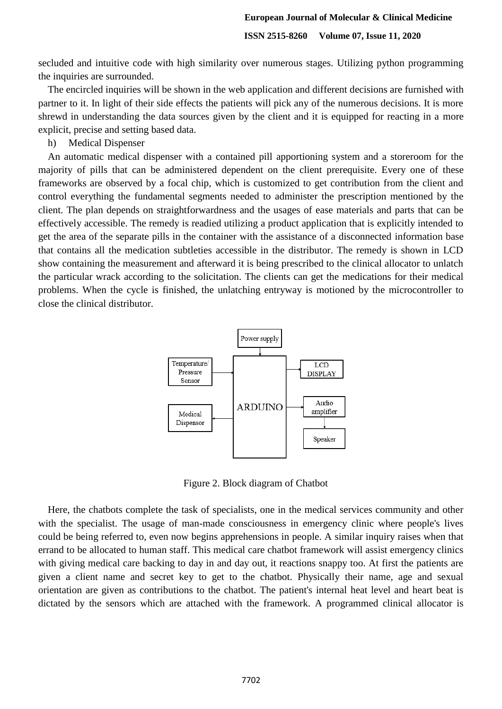secluded and intuitive code with high similarity over numerous stages. Utilizing python programming the inquiries are surrounded.

The encircled inquiries will be shown in the web application and different decisions are furnished with partner to it. In light of their side effects the patients will pick any of the numerous decisions. It is more shrewd in understanding the data sources given by the client and it is equipped for reacting in a more explicit, precise and setting based data.

h) Medical Dispenser

An automatic medical dispenser with a contained pill apportioning system and a storeroom for the majority of pills that can be administered dependent on the client prerequisite. Every one of these frameworks are observed by a focal chip, which is customized to get contribution from the client and control everything the fundamental segments needed to administer the prescription mentioned by the client. The plan depends on straightforwardness and the usages of ease materials and parts that can be effectively accessible. The remedy is readied utilizing a product application that is explicitly intended to get the area of the separate pills in the container with the assistance of a disconnected information base that contains all the medication subtleties accessible in the distributor. The remedy is shown in LCD show containing the measurement and afterward it is being prescribed to the clinical allocator to unlatch the particular wrack according to the solicitation. The clients can get the medications for their medical problems. When the cycle is finished, the unlatching entryway is motioned by the microcontroller to close the clinical distributor.



Figure 2. Block diagram of Chatbot

Here, the chatbots complete the task of specialists, one in the medical services community and other with the specialist. The usage of man-made consciousness in emergency clinic where people's lives could be being referred to, even now begins apprehensions in people. A similar inquiry raises when that errand to be allocated to human staff. This medical care chatbot framework will assist emergency clinics with giving medical care backing to day in and day out, it reactions snappy too. At first the patients are given a client name and secret key to get to the chatbot. Physically their name, age and sexual orientation are given as contributions to the chatbot. The patient's internal heat level and heart beat is dictated by the sensors which are attached with the framework. A programmed clinical allocator is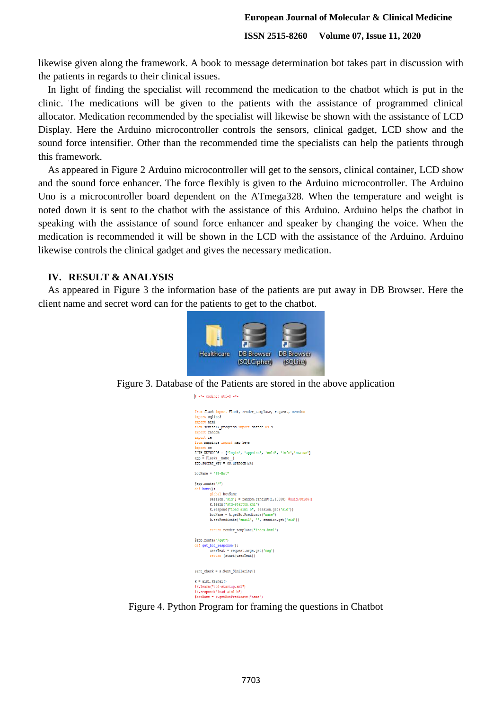likewise given along the framework. A book to message determination bot takes part in discussion with the patients in regards to their clinical issues.

In light of finding the specialist will recommend the medication to the chatbot which is put in the clinic. The medications will be given to the patients with the assistance of programmed clinical allocator. Medication recommended by the specialist will likewise be shown with the assistance of LCD Display. Here the Arduino microcontroller controls the sensors, clinical gadget, LCD show and the sound force intensifier. Other than the recommended time the specialists can help the patients through this framework.

As appeared in Figure 2 Arduino microcontroller will get to the sensors, clinical container, LCD show and the sound force enhancer. The force flexibly is given to the Arduino microcontroller. The Arduino Uno is a microcontroller board dependent on the ATmega328. When the temperature and weight is noted down it is sent to the chatbot with the assistance of this Arduino. Arduino helps the chatbot in speaking with the assistance of sound force enhancer and speaker by changing the voice. When the medication is recommended it will be shown in the LCD with the assistance of the Arduino. Arduino likewise controls the clinical gadget and gives the necessary medication.

## **IV. RESULT & ANALYSIS**

As appeared in Figure 3 the information base of the patients are put away in DB Browser. Here the client name and secret word can for the patients to get to the chatbot.



Figure 3. Database of the Patients are stored in the above application

 $\frac{1}{2}$  =\*= coding: utf=8 =\*

| from flask import Flask, render template, request, session     |
|----------------------------------------------------------------|
| import salite3                                                 |
| import aiml                                                    |
| from seminar2 progress import sntnce as s                      |
| import random                                                  |
| import re                                                      |
| from mappings import map keys                                  |
| import os                                                      |
| AUTH KEYWORDS = ['login', 'appoint', 'cold', 'info', 'status'] |
| $app = False( name )$                                          |
| $app.setcret$ key = $os.urandom(24)$                           |
| $bottom = "P8-Bot"$                                            |
|                                                                |
| $@app.\nrowt ("/")$                                            |
| def home():                                                    |
| global botName                                                 |
| $s$ ession['sid'] = random.randint(1,10000) #uuid.uuid4()      |
| k.learn("std-startup.xml")                                     |
| k.respond("load aiml b", session.qet('sid'))                   |
| botName = k.getBotPredicate("name")                            |
| k.setPredicate('email', '', session.get('sid'))                |
| return render template ("index.html")                          |
|                                                                |
| @app.route("/get")                                             |
| def get bot response():                                        |
| userText = request.args.get('msg')                             |
| return (start(userText))                                       |
| sent check = $s$ . Sent Similarity()                           |
|                                                                |
| $k =$ aiml.Kernel()                                            |
| #k.learn("std-startup.xml")                                    |
| #k.respond("load aiml b")                                      |
| #botName = k. getBotPredicate ("name")                         |

Figure 4. Python Program for framing the questions in Chatbot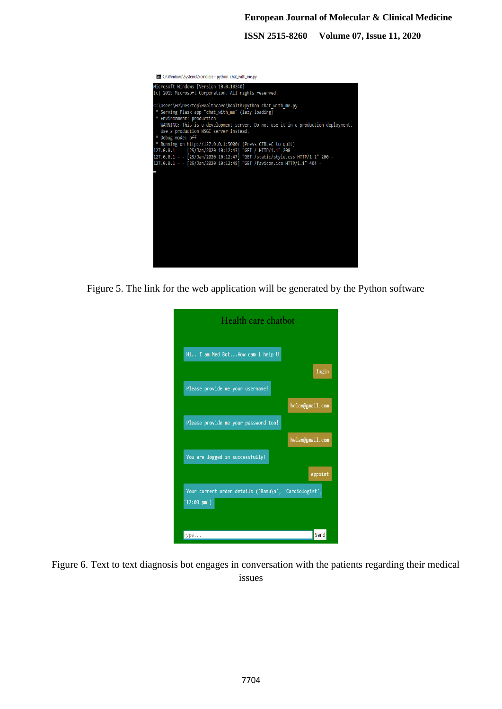| C:\Windows\System32\cmd.exe - python chat with me.py                                                                                                                                                                                                                                             |
|--------------------------------------------------------------------------------------------------------------------------------------------------------------------------------------------------------------------------------------------------------------------------------------------------|
| Microsoft Windows [Version 10.0.10240]<br>(c) 2015 Microsoft Corporation. All rights reserved.                                                                                                                                                                                                   |
| C:\Users\HP\Desktop\Healthcare\health>python chat with me.py<br>* Serving Flask app "chat with me" (lazy loading)<br>* Environment: production<br>WARNING: This is a development server. Do not use it in a production deployment.<br>Use a production WSGI server instead.<br>* Debug mode: off |
| * Running on http://127.0.0.1:5000/ (Press CTRL+C to quit)<br>127.0.0.1 - - [25/Jan/2020 10:12:43] "GET / HTTP/1.1" 200 -<br>127.0.0.1 - - [25/Jan/2020 10:12:47] "GET /static/style.css HTTP/1.1" 200 -<br>127.0.0.1 - - [25/Jan/2020 10:12:48] "GET /favicon.ico HTTP/1.1" 404 -               |
|                                                                                                                                                                                                                                                                                                  |
|                                                                                                                                                                                                                                                                                                  |
|                                                                                                                                                                                                                                                                                                  |
|                                                                                                                                                                                                                                                                                                  |

Figure 5. The link for the web application will be generated by the Python software

| Health care chatbot                                                           |
|-------------------------------------------------------------------------------|
| Hi I am Med BotHow cam i help U                                               |
| login                                                                         |
| Please provide me your username!                                              |
| helan@gmail.com                                                               |
| Please provide me your password too!                                          |
| helan@gmail.com                                                               |
| You are logged in successfully!                                               |
| appoint                                                                       |
| Your current order details ('Ramu\n', 'Cardiologist',<br>$'12:00 \text{ pm}'$ |
| Send<br>Type                                                                  |

Figure 6. Text to text diagnosis bot engages in conversation with the patients regarding their medical issues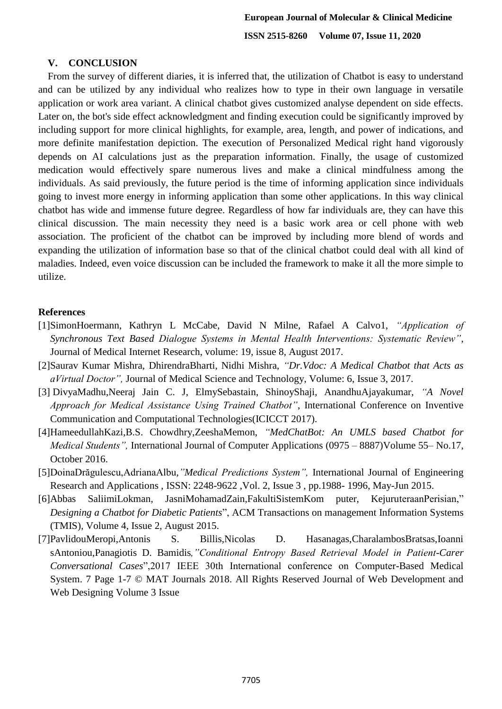# **V. CONCLUSION**

From the survey of different diaries, it is inferred that, the utilization of Chatbot is easy to understand and can be utilized by any individual who realizes how to type in their own language in versatile application or work area variant. A clinical chatbot gives customized analyse dependent on side effects. Later on, the bot's side effect acknowledgment and finding execution could be significantly improved by including support for more clinical highlights, for example, area, length, and power of indications, and more definite manifestation depiction. The execution of Personalized Medical right hand vigorously depends on AI calculations just as the preparation information. Finally, the usage of customized medication would effectively spare numerous lives and make a clinical mindfulness among the individuals. As said previously, the future period is the time of informing application since individuals going to invest more energy in informing application than some other applications. In this way clinical chatbot has wide and immense future degree. Regardless of how far individuals are, they can have this clinical discussion. The main necessity they need is a basic work area or cell phone with web association. The proficient of the chatbot can be improved by including more blend of words and expanding the utilization of information base so that of the clinical chatbot could deal with all kind of maladies. Indeed, even voice discussion can be included the framework to make it all the more simple to utilize.

# **References**

- [1]SimonHoermann, Kathryn L McCabe, David N Milne, Rafael A Calvo1, *"Application of Synchronous Text Based Dialogue Systems in Mental Health Interventions: Systematic Review"*, Journal of Medical Internet Research, volume: 19, issue 8, August 2017.
- [2]Saurav Kumar Mishra, DhirendraBharti, Nidhi Mishra, *"Dr.Vdoc: A Medical Chatbot that Acts as aVirtual Doctor",* Journal of Medical Science and Technology, Volume: 6, Issue 3, 2017.
- [3] DivyaMadhu,Neeraj Jain C. J, ElmySebastain, ShinoyShaji, AnandhuAjayakumar, *"A Novel Approach for Medical Assistance Using Trained Chatbot"*, International Conference on Inventive Communication and Computational Technologies(ICICCT 2017).
- [4]HameedullahKazi,B.S. Chowdhry,ZeeshaMemon, *"MedChatBot: An UMLS based Chatbot for Medical Students",* International Journal of Computer Applications (0975 – 8887)Volume 55– No.17, October 2016.
- [5]DoinaDrăgulescu,AdrianaAlbu*,"Medical Predictions System",* International Journal of Engineering Research and Applications , ISSN: 2248-9622 ,Vol. 2, Issue 3 , pp.1988- 1996, May-Jun 2015.
- [6]Abbas SaliimiLokman, JasniMohamadZain,FakultiSistemKom puter, KejuruteraanPerisian," *Designing a Chatbot for Diabetic Patients*", ACM Transactions on management Information Systems (TMIS), Volume 4, Issue 2, August 2015.
- [7]PavlidouMeropi,Antonis S. Billis,Nicolas D. Hasanagas,CharalambosBratsas,Ioanni sAntoniou,Panagiotis D. Bamidis*,"Conditional Entropy Based Retrieval Model in Patient-Carer Conversational Cases*",2017 IEEE 30th International conference on Computer-Based Medical System. 7 Page 1-7 © MAT Journals 2018. All Rights Reserved Journal of Web Development and Web Designing Volume 3 Issue